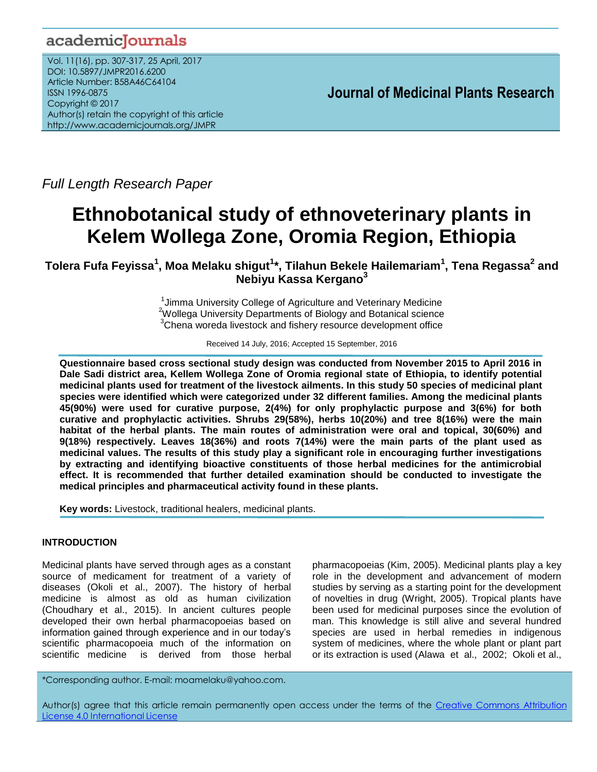# academicJournals

Vol. 11(16), pp. 307-317, 25 April, 2017 DOI: 10.5897/JMPR2016.6200 Article Number: B58A46C64104 ISSN 1996-0875 Copyright © 2017 Author(s) retain the copyright of this article http://www.academicjournals.org/JMPR

 **Journal of Medicinal Plants Research**

*Full Length Research Paper* 

# **Ethnobotanical study of ethnoveterinary plants in Kelem Wollega Zone, Oromia Region, Ethiopia**

**Tolera Fufa Feyissa<sup>1</sup> , Moa Melaku shigut<sup>1</sup> \*, Tilahun Bekele Hailemariam<sup>1</sup> , Tena Regassa<sup>2</sup> and Nebiyu Kassa Kergano<sup>3</sup>**

> <sup>1</sup>Jimma University College of Agriculture and Veterinary Medicine <sup>2</sup>Wollega University Departments of Biology and Botanical science <sup>3</sup>Chena woreda livestock and fishery resource development office

> > Received 14 July, 2016; Accepted 15 September, 2016

**Questionnaire based cross sectional study design was conducted from November 2015 to April 2016 in Dale Sadi district area, Kellem Wollega Zone of Oromia regional state of Ethiopia, to identify potential medicinal plants used for treatment of the livestock ailments. In this study 50 species of medicinal plant species were identified which were categorized under 32 different families. Among the medicinal plants 45(90%) were used for curative purpose, 2(4%) for only prophylactic purpose and 3(6%) for both curative and prophylactic activities. Shrubs 29(58%), herbs 10(20%) and tree 8(16%) were the main habitat of the herbal plants. The main routes of administration were oral and topical, 30(60%) and 9(18%) respectively. Leaves 18(36%) and roots 7(14%) were the main parts of the plant used as medicinal values. The results of this study play a significant role in encouraging further investigations by extracting and identifying bioactive constituents of those herbal medicines for the antimicrobial effect. It is recommended that further detailed examination should be conducted to investigate the medical principles and pharmaceutical activity found in these plants.**

**Key words:** Livestock, traditional healers, medicinal plants.

# **INTRODUCTION**

Medicinal plants have served through ages as a constant source of medicament for treatment of a variety of diseases (Okoli et al., 2007). The history of herbal medicine is almost as old as human civilization (Choudhary et al., 2015). In ancient cultures people developed their own herbal pharmacopoeias based on information gained through experience and in our today's scientific pharmacopoeia much of the information on scientific medicine is derived from those herbal

pharmacopoeias (Kim, 2005). Medicinal plants play a key role in the development and advancement of modern studies by serving as a starting point for the development of novelties in drug (Wright, 2005). Tropical plants have been used for medicinal purposes since the evolution of man. This knowledge is still alive and several hundred species are used in herbal remedies in indigenous system of medicines, where the whole plant or plant part or its extraction is used (Alawa et al., 2002; Okoli et al.,

\*Corresponding author. E-mail: moamelaku@yahoo.com.

Author(s) agree that this article remain permanently open access under the terms of the Creative Commons [Attribution](http://creativecommons.org/licenses/by/4.0/deed.en_US)  License 4.0 [International](http://creativecommons.org/licenses/by/4.0/deed.en_US) License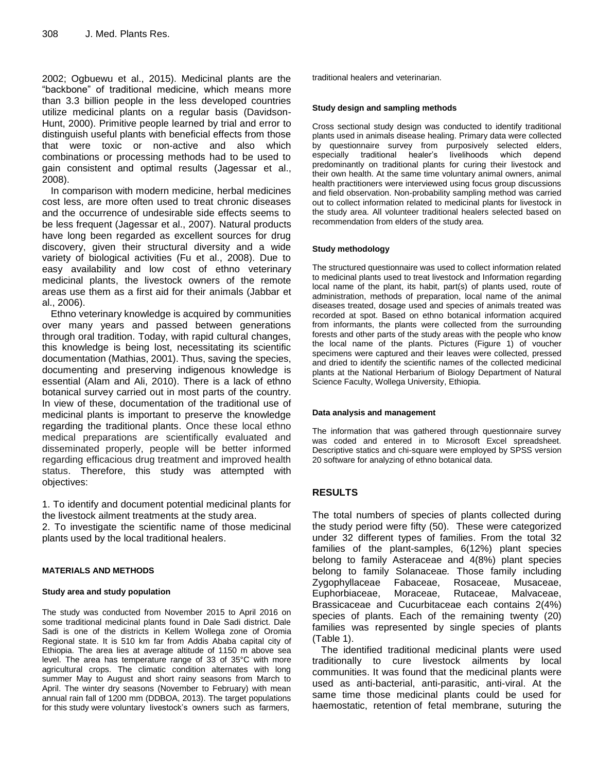2002; Ogbuewu et al., 2015). Medicinal plants are the "backbone" of traditional medicine, which means more than 3.3 billion people in the less developed countries utilize medicinal plants on a regular basis (Davidson-Hunt, 2000). Primitive people learned by trial and error to distinguish useful plants with beneficial effects from those that were toxic or non-active and also which combinations or processing methods had to be used to gain consistent and optimal results (Jagessar et al., 2008).

In comparison with modern medicine, herbal medicines cost less, are more often used to treat chronic diseases and the occurrence of undesirable side effects seems to be less frequent (Jagessar et al., 2007). Natural products have long been regarded as excellent sources for drug discovery, given their structural diversity and a wide variety of biological activities (Fu et al., 2008). Due to easy availability and low cost of ethno veterinary medicinal plants, the livestock owners of the remote areas use them as a first aid for their animals (Jabbar et al., 2006).

Ethno veterinary knowledge is acquired by communities over many years and passed between generations through oral tradition. Today, with rapid cultural changes, this knowledge is being lost, necessitating its scientific documentation (Mathias, 2001). Thus, saving the species, documenting and preserving indigenous knowledge is essential (Alam and Ali, 2010). There is a lack of ethno botanical survey carried out in most parts of the country. In view of these, documentation of the traditional use of medicinal plants is important to preserve the knowledge regarding the traditional plants. Once these local ethno medical preparations are scientifically evaluated and disseminated properly, people will be better informed regarding efficacious drug treatment and improved health status. Therefore, this study was attempted with objectives:

1. To identify and document potential medicinal plants for the livestock ailment treatments at the study area.

2. To investigate the scientific name of those medicinal plants used by the local traditional healers.

#### **MATERIALS AND METHODS**

#### **Study area and study population**

The study was conducted from November 2015 to April 2016 on some traditional medicinal plants found in Dale Sadi district. Dale Sadi is one of the districts in Kellem Wollega zone of Oromia Regional state. It is 510 km far from Addis Ababa capital city of Ethiopia. The area lies at average altitude of 1150 m above sea level. The area has temperature range of 33 of 35°C with more agricultural crops. The climatic condition alternates with long summer May to August and short rainy seasons from March to April. The winter dry seasons (November to February) with mean annual rain fall of 1200 mm (DDBOA, 2013). The target populations for this study were voluntary livestock's owners such as farmers,

traditional healers and veterinarian.

#### **Study design and sampling methods**

Cross sectional study design was conducted to identify traditional plants used in animals disease healing. Primary data were collected by questionnaire survey from purposively selected elders, especially traditional healer's livelihoods which depend predominantly on traditional plants for curing their livestock and their own health. At the same time voluntary animal owners, animal health practitioners were interviewed using focus group discussions and field observation. Non-probability sampling method was carried out to collect information related to medicinal plants for livestock in the study area. All volunteer traditional healers selected based on recommendation from elders of the study area.

#### **Study methodology**

The structured questionnaire was used to collect information related to medicinal plants used to treat livestock and Information regarding local name of the plant, its habit, part(s) of plants used, route of administration, methods of preparation, local name of the animal diseases treated, dosage used and species of animals treated was recorded at spot. Based on ethno botanical information acquired from informants, the plants were collected from the surrounding forests and other parts of the study areas with the people who know the local name of the plants. Pictures (Figure 1) of voucher specimens were captured and their leaves were collected, pressed and dried to identify the scientific names of the collected medicinal plants at the National Herbarium of Biology Department of Natural Science Faculty, Wollega University, Ethiopia.

#### **Data analysis and management**

The information that was gathered through questionnaire survey was coded and entered in to Microsoft Excel spreadsheet. Descriptive statics and chi-square were employed by SPSS version 20 software for analyzing of ethno botanical data.

# **RESULTS**

The total numbers of species of plants collected during the study period were fifty (50). These were categorized under 32 different types of families. From the total 32 families of the plant-samples, 6(12%) plant species belong to family Asteraceae and 4(8%) plant species belong to family Solanaceae*.* Those family including Zygophyllaceae Fabaceae, Rosaceae, Musaceae, Euphorbiaceae, Moraceae, Rutaceae, Malvaceae, Brassicaceae and Cucurbitaceae each contains 2(4%) species of plants. Each of the remaining twenty (20) families was represented by single species of plants (Table 1).

The identified traditional medicinal plants were used traditionally to cure livestock ailments by local communities. It was found that the medicinal plants were used as anti-bacterial, anti-parasitic, anti-viral. At the same time those medicinal plants could be used for haemostatic, retention of fetal membrane, suturing the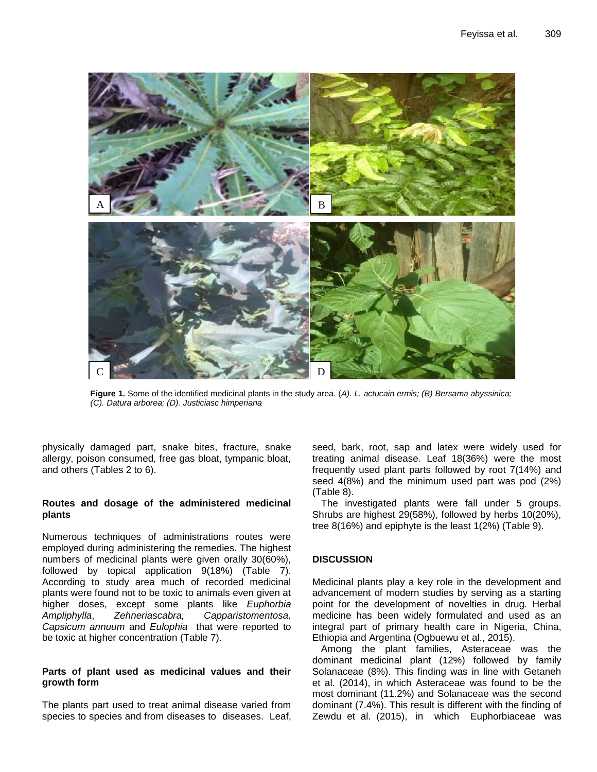

**Figure 1.** Some of the identified medicinal plants in the study area. (*A). L. actucain ermis; (B) Bersama abyssinica; (C). Datura arborea; (D). Justiciasc himperiana* 

physically damaged part, snake bites, fracture, snake allergy, poison consumed, free gas bloat, tympanic bloat, and others (Tables 2 to 6).

#### **Routes and dosage of the administered medicinal plants**

Numerous techniques of administrations routes were employed during administering the remedies. The highest numbers of medicinal plants were given orally 30(60%), followed by topical application 9(18%) (Table 7). According to study area much of recorded medicinal plants were found not to be toxic to animals even given at higher doses, except some plants like *Euphorbia Ampliphylla*, *Zehneriascabra, Capparistomentosa, Capsicum annuum* and *Eulophia* that were reported to be toxic at higher concentration (Table 7).

# **Parts of plant used as medicinal values and their growth form**

The plants part used to treat animal disease varied from species to species and from diseases to diseases. Leaf, seed, bark, root, sap and latex were widely used for treating animal disease. Leaf 18(36%) were the most frequently used plant parts followed by root 7(14%) and seed 4(8%) and the minimum used part was pod (2%) (Table 8).

The investigated plants were fall under 5 groups. Shrubs are highest 29(58%), followed by herbs 10(20%), tree 8(16%) and epiphyte is the least 1(2%) (Table 9).

# **DISCUSSION**

Medicinal plants play a key role in the development and advancement of modern studies by serving as a starting point for the development of novelties in drug. Herbal medicine has been widely formulated and used as an integral part of primary health care in Nigeria, China, Ethiopia and Argentina (Ogbuewu et al., 2015).

Among the plant families, Asteraceae was the dominant medicinal plant (12%) followed by family Solanaceae (8%). This finding was in line with Getaneh et al. (2014), in which Asteraceae was found to be the most dominant (11.2%) and Solanaceae was the second dominant (7.4%). This result is different with the finding of Zewdu et al. (2015), in which Euphorbiaceae was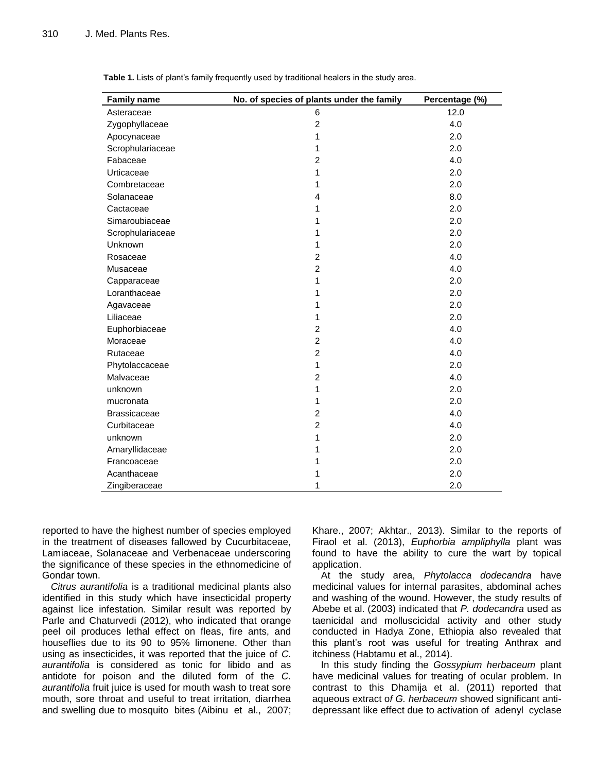| <b>Family name</b>  | No. of species of plants under the family | Percentage (%) |
|---------------------|-------------------------------------------|----------------|
| Asteraceae          | 6                                         | 12.0           |
| Zygophyllaceae      | $\overline{c}$                            | 4.0            |
| Apocynaceae         | 1                                         | 2.0            |
| Scrophulariaceae    | 1                                         | 2.0            |
| Fabaceae            | $\overline{c}$                            | 4.0            |
| Urticaceae          | 1                                         | 2.0            |
| Combretaceae        | 1                                         | 2.0            |
| Solanaceae          | 4                                         | 8.0            |
| Cactaceae           | 1                                         | 2.0            |
| Simaroubiaceae      | 1                                         | 2.0            |
| Scrophulariaceae    | 1                                         | 2.0            |
| Unknown             | 1                                         | 2.0            |
| Rosaceae            | $\overline{c}$                            | 4.0            |
| Musaceae            | $\overline{c}$                            | 4.0            |
| Capparaceae         | 1                                         | 2.0            |
| Loranthaceae        | 1                                         | 2.0            |
| Agavaceae           | 1                                         | 2.0            |
| Liliaceae           | 1                                         | 2.0            |
| Euphorbiaceae       | $\overline{c}$                            | 4.0            |
| Moraceae            | $\overline{2}$                            | 4.0            |
| Rutaceae            | $\overline{2}$                            | 4.0            |
| Phytolaccaceae      | 1                                         | 2.0            |
| Malvaceae           | $\overline{c}$                            | 4.0            |
| unknown             | 1                                         | 2.0            |
| mucronata           | 1                                         | 2.0            |
| <b>Brassicaceae</b> | $\overline{\mathbf{c}}$                   | 4.0            |
| Curbitaceae         | $\overline{c}$                            | 4.0            |
| unknown             | 1                                         | 2.0            |
| Amaryllidaceae      | 1                                         | 2.0            |
| Francoaceae         | 1                                         | 2.0            |
| Acanthaceae         | 1                                         | 2.0            |
| Zingiberaceae       | 1                                         | 2.0            |

**Table 1.** Lists of plant's family frequently used by traditional healers in the study area.

reported to have the highest number of species employed in the treatment of diseases fallowed by Cucurbitaceae, Lamiaceae, Solanaceae and Verbenaceae underscoring the significance of these species in the ethnomedicine of Gondar town.

*Citrus aurantifolia* is a traditional medicinal plants also identified in this study which have insecticidal property against lice infestation. Similar result was reported by Parle and Chaturvedi (2012), who indicated that orange peel oil produces lethal effect on fleas, fire ants, and houseflies due to its 90 to 95% limonene. Other than using as insecticides, it was reported that the juice of *C. aurantifolia* is considered as tonic for libido and as antidote for poison and the diluted form of the *C. aurantifolia* fruit juice is used for mouth wash to treat sore mouth, sore throat and useful to treat irritation, diarrhea and swelling due to mosquito bites (Aibinu et al., 2007;

Khare., 2007; Akhtar., 2013). Similar to the reports of Firaol et al. (2013), *Euphorbia ampliphylla* plant was found to have the ability to cure the wart by topical application.

At the study area, *Phytolacca dodecandra* have medicinal values for internal parasites, abdominal aches and washing of the wound. However, the study results of Abebe et al. (2003) indicated that *P. dodecandra* used as taenicidal and molluscicidal activity and other study conducted in Hadya Zone, Ethiopia also revealed that this plant's root was useful for treating Anthrax and itchiness (Habtamu et al., 2014).

In this study finding the *Gossypium herbaceum* plant have medicinal values for treating of ocular problem. In contrast to this Dhamija et al. (2011) reported that aqueous extract o*f G. herbaceum* showed significant antidepressant like effect due to activation of adenyl cyclase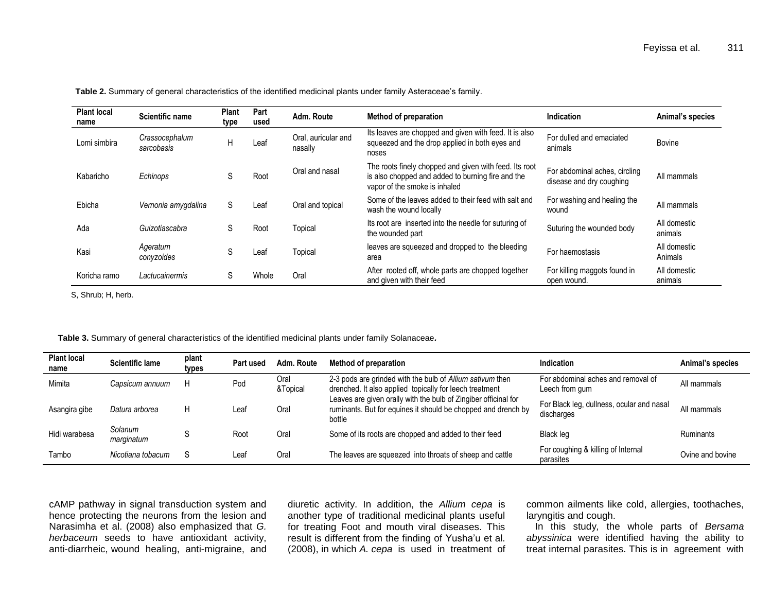| <b>Plant local</b><br>name | <b>Scientific name</b>       | Plant<br>type | Part<br>used | Adm. Route                     | <b>Method of preparation</b>                                                                                                                 | Indication                                                | Animal's species        |
|----------------------------|------------------------------|---------------|--------------|--------------------------------|----------------------------------------------------------------------------------------------------------------------------------------------|-----------------------------------------------------------|-------------------------|
| Lomi simbira               | Crassocephalum<br>sarcobasis | Н             | Leaf         | Oral, auricular and<br>nasally | Its leaves are chopped and given with feed. It is also<br>squeezed and the drop applied in both eyes and<br>noses                            | For dulled and emaciated<br>animals                       | <b>Bovine</b>           |
| Kabaricho                  | Echinops                     | S             | Root         | Oral and nasal                 | The roots finely chopped and given with feed. Its root<br>is also chopped and added to burning fire and the<br>vapor of the smoke is inhaled | For abdominal aches, circling<br>disease and dry coughing | All mammals             |
| Ebicha                     | Vernonia amygdalina          | S             | Leaf         | Oral and topical               | Some of the leaves added to their feed with salt and<br>wash the wound locally                                                               | For washing and healing the<br>wound                      | All mammals             |
| Ada                        | Guizotiascabra               | S             | Root         | Topical                        | Its root are inserted into the needle for suturing of<br>the wounded part                                                                    | Suturing the wounded body                                 | All domestic<br>animals |
| Kasi                       | Ageratum<br>convzoides       | S             | Leaf         | Topical                        | leaves are squeezed and dropped to the bleeding<br>area                                                                                      | For haemostasis                                           | All domestic<br>Animals |
| Koricha ramo               | Lactucainermis               | S             | Whole        | Oral                           | rooted off, whole parts are chopped together<br>After<br>and given with their feed                                                           | For killing maggots found in<br>open wound.               | All domestic<br>animals |

**Table 2.** Summary of general characteristics of the identified medicinal plants under family Asteraceae's family*.*

S, Shrub; H, herb.

**Table 3.** Summary of general characteristics of the identified medicinal plants under family Solanaceae*.*

| <b>Plant local</b><br>name | <b>Scientific lame</b> | plant<br>types | Part used | Adm. Route       | Method of preparation                                                                                                                      | Indication                                              | Animal's species |
|----------------------------|------------------------|----------------|-----------|------------------|--------------------------------------------------------------------------------------------------------------------------------------------|---------------------------------------------------------|------------------|
| Mimita                     | Capsicum annuum        | Н              | Pod       | Oral<br>&Topical | 2-3 pods are grinded with the bulb of Allium sativum then<br>drenched. It also applied topically for leech treatment                       | For abdominal aches and removal of<br>Leech from gum    | All mammals      |
| Asangira gibe              | Datura arborea         |                | Leaf      | Oral             | Leaves are given orally with the bulb of Zingiber officinal for<br>ruminants. But for equines it should be chopped and drench by<br>bottle | For Black leg, dullness, ocular and nasal<br>discharges | All mammals      |
| Hidi warabesa              | Solanum<br>marginatum  |                | Root      | Oral             | Some of its roots are chopped and added to their feed                                                                                      | Black leg                                               | Ruminants        |
| Tambo                      | Nicotiana tobacum      | S              | Leaf      | Oral             | The leaves are squeezed into throats of sheep and cattle                                                                                   | For coughing & killing of Internal<br>parasites         | Ovine and bovine |

cAMP pathway in signal transduction system and hence protecting the neurons from the lesion and Narasimha et al. (2008) also emphasized that *G. herbaceum* seeds to have antioxidant activity, anti-diarrheic, wound healing, anti-migraine, and diuretic activity. In addition, the *Allium cepa* is another type of traditional medicinal plants useful for treating Foot and mouth viral diseases. This result is different from the finding of Yusha'u et al. (2008), in which *A. cepa* is used in treatment of

common ailments like cold, allergies, toothaches, laryngitis and cough.

In this study*,* the whole parts of *Bersama abyssinica* were identified having the ability to treat internal parasites. This is in agreement with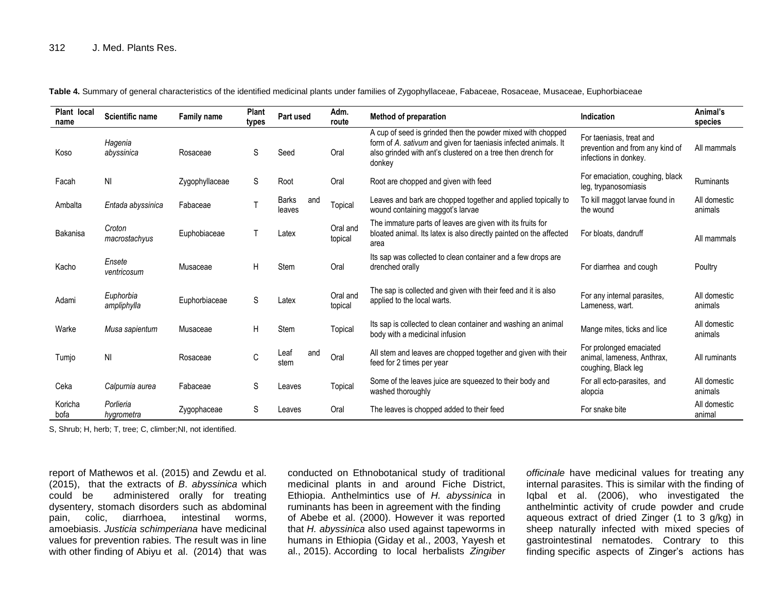| Plant local<br>name | Scientific name          | <b>Family name</b> | <b>Plant</b><br>types | Part used       |     | Adm.<br>route       | <b>Method of preparation</b>                                                                                                                                                                            | Indication                                                                           | Animal's<br>species     |
|---------------------|--------------------------|--------------------|-----------------------|-----------------|-----|---------------------|---------------------------------------------------------------------------------------------------------------------------------------------------------------------------------------------------------|--------------------------------------------------------------------------------------|-------------------------|
| Koso                | Hagenia<br>abyssinica    | Rosaceae           | S                     | Seed            |     | Oral                | A cup of seed is grinded then the powder mixed with chopped<br>form of A. sativum and given for taeniasis infected animals. It<br>also grinded with ant's clustered on a tree then drench for<br>donkey | For taeniasis, treat and<br>prevention and from any kind of<br>infections in donkey. | All mammals             |
| Facah               | NI                       | Zygophyllaceae     | S                     | Root            |     | Oral                | Root are chopped and given with feed                                                                                                                                                                    | For emaciation, coughing, black<br>leg, trypanosomiasis                              | <b>Ruminants</b>        |
| Ambalta             | Entada abyssinica        | Fabaceae           |                       | Barks<br>leaves | and | Topical             | Leaves and bark are chopped together and applied topically to<br>wound containing maggot's larvae                                                                                                       | To kill maggot larvae found in<br>the wound                                          | All domestic<br>animals |
| Bakanisa            | Croton<br>macrostachyus  | Euphobiaceae       |                       | Latex           |     | Oral and<br>topical | The immature parts of leaves are given with its fruits for<br>bloated animal. Its latex is also directly painted on the affected<br>area                                                                | For bloats, dandruff                                                                 | All mammals             |
| Kacho               | Ensete<br>ventricosum    | Musaceae           | H                     | Stem            |     | Oral                | Its sap was collected to clean container and a few drops are<br>drenched orally                                                                                                                         | For diarrhea and cough                                                               | Poultry                 |
| Adami               | Euphorbia<br>ampliphylla | Euphorbiaceae      | S                     | Latex           |     | Oral and<br>topical | The sap is collected and given with their feed and it is also<br>applied to the local warts.                                                                                                            | For any internal parasites,<br>Lameness, wart.                                       | All domestic<br>animals |
| Warke               | Musa sapientum           | Musaceae           | H                     | <b>Stem</b>     |     | Topical             | Its sap is collected to clean container and washing an animal<br>body with a medicinal infusion                                                                                                         | Mange mites, ticks and lice                                                          | All domestic<br>animals |
| Tumjo               | NI                       | Rosaceae           | C                     | Leaf<br>stem    | and | Oral                | All stem and leaves are chopped together and given with their<br>feed for 2 times per year                                                                                                              | For prolonged emaciated<br>animal, lameness, Anthrax,<br>coughing, Black leg         | All ruminants           |
| Ceka                | Calpurnia aurea          | Fabaceae           | S                     | Leaves          |     | Topical             | Some of the leaves juice are squeezed to their body and<br>washed thoroughly                                                                                                                            | For all ecto-parasites, and<br>alopcia                                               | All domestic<br>animals |
| Koricha<br>bofa     | Porlieria<br>hygrometra  | Zygophaceae        | S                     | Leaves          |     | Oral                | The leaves is chopped added to their feed                                                                                                                                                               | For snake bite                                                                       | All domestic<br>animal  |

**Table 4.** Summary of general characteristics of the identified medicinal plants under families of Zygophyllaceae, Fabaceae, Rosaceae, Musaceae, Euphorbiaceae

S, Shrub; H, herb; T, tree; C, climber;NI, not identified.

report of Mathewos et al. (2015) and Zewdu et al. (2015), that the extracts of *B*. *abyssinica* which could be administered orally for treating dysentery, stomach disorders such as abdominal pain, colic, diarrhoea, intestinal worms, amoebiasis. *Justicia schimperiana* have medicinal values for prevention rabies*.* The result was in line with other finding of Abiyu et al. (2014) that was

conducted on Ethnobotanical study of traditional medicinal plants in and around Fiche District, Ethiopia. Anthelmintics use of *H. abyssinica* in ruminants has been in agreement with the finding of Abebe et al. (2000). However it was reported that *H. abyssinica* also used against tapeworms in humans in Ethiopia (Giday et al., 2003, Yayesh et al., 2015). According to local herbalists *Zingiber* 

*officinale* have medicinal values for treating any internal parasites. This is similar with the finding of Iqbal et al. (2006), who investigated the anthelmintic activity of crude powder and crude aqueous extract of dried Zinger (1 to 3 g/kg) in sheep naturally infected with mixed species of gastrointestinal nematodes. Contrary to this finding specific aspects of Zinger's actions has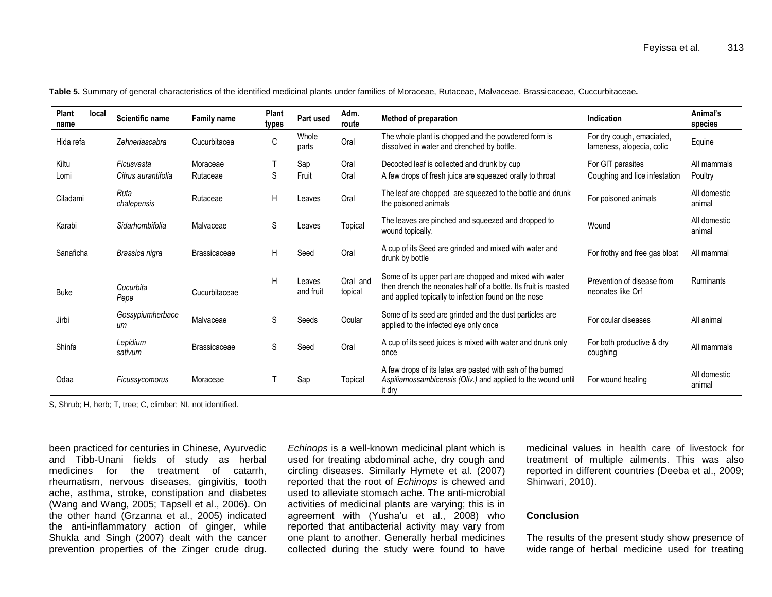| <b>Plant</b><br>local<br>name | Scientific name        | <b>Family name</b>  | Plant<br>types | Part used           | Adm.<br>route       | <b>Method of preparation</b>                                                                                                                                                       | <b>Indication</b>                                      | Animal's<br>species    |
|-------------------------------|------------------------|---------------------|----------------|---------------------|---------------------|------------------------------------------------------------------------------------------------------------------------------------------------------------------------------------|--------------------------------------------------------|------------------------|
| Hida refa                     | Zehneriascabra         | Cucurbitacea        | С              | Whole<br>parts      | Oral                | The whole plant is chopped and the powdered form is<br>dissolved in water and drenched by bottle.                                                                                  | For dry cough, emaciated,<br>lameness, alopecia, colic | Equine                 |
| Kiltu                         | Ficusvasta             | Moraceae            |                | Sap                 | Oral                | Decocted leaf is collected and drunk by cup                                                                                                                                        | For GIT parasites                                      | All mammals            |
| Lomi                          | Citrus aurantifolia    | Rutaceae            | S              | Fruit               | Oral                | A few drops of fresh juice are squeezed orally to throat                                                                                                                           | Coughing and lice infestation                          | Poultry                |
| Ciladami                      | Ruta<br>chalepensis    | Rutaceae            | Η              | Leaves              | Oral                | The leaf are chopped are squeezed to the bottle and drunk<br>the poisoned animals                                                                                                  | For poisoned animals                                   | All domestic<br>animal |
| Karabi                        | Sidarhombifolia        | Malvaceae           | S              | Leaves              | Topical             | The leaves are pinched and squeezed and dropped to<br>wound topically.                                                                                                             | Wound                                                  | All domestic<br>animal |
| Sanaficha                     | Brassica nigra         | <b>Brassicaceae</b> | Η              | Seed                | Oral                | A cup of its Seed are grinded and mixed with water and<br>drunk by bottle                                                                                                          | For frothy and free gas bloat                          | All mammal             |
| Buke                          | Cucurbita<br>Pepe      | Cucurbitaceae       | Η              | Leaves<br>and fruit | Oral and<br>topical | Some of its upper part are chopped and mixed with water<br>then drench the neonates half of a bottle. Its fruit is roasted<br>and applied topically to infection found on the nose | Prevention of disease from<br>neonates like Orf        | <b>Ruminants</b>       |
| Jirbi                         | Gossypiumherbace<br>иm | Malvaceae           | S              | Seeds               | Ocular              | Some of its seed are grinded and the dust particles are<br>applied to the infected eye only once                                                                                   | For ocular diseases                                    | All animal             |
| Shinfa                        | Lepidium<br>sativum    | <b>Brassicaceae</b> | S              | Seed                | Oral                | A cup of its seed juices is mixed with water and drunk only<br>once                                                                                                                | For both productive & dry<br>coughing                  | All mammals            |
| Odaa                          | Ficussycomorus         | Moraceae            |                | Sap                 | Topical             | A few drops of its latex are pasted with ash of the burned<br>Aspiliamossambicensis (Oliv.) and applied to the wound until<br>it dry                                               | For wound healing                                      | All domestic<br>animal |

**Table 5.** Summary of general characteristics of the identified medicinal plants under families of Moraceae, Rutaceae, Malvaceae, Brassicaceae, Cuccurbitaceae*.*

S, Shrub; H, herb; T, tree; C, climber; NI, not identified.

been practiced for centuries in Chinese, Ayurvedic and Tibb-Unani fields of study as herbal medicines for the treatment of catarrh, rheumatism, nervous diseases, gingivitis, tooth ache, asthma, stroke, constipation and diabetes (Wang and Wang, 2005; Tapsell et al., 2006). On the other hand (Grzanna et al., 2005) indicated the anti-inflammatory action of ginger, while Shukla and Singh (2007) dealt with the cancer prevention properties of the Zinger crude drug.

*Echinops* is a well-known medicinal plant which is used for treating abdominal ache, dry cough and circling diseases. Similarly Hymete et al. (2007) reported that the root of *Echinops* is chewed and used to alleviate stomach ache. The anti-microbial activities of medicinal plants are varying; this is in agreement with (Yusha'u et al., 2008) who reported that antibacterial activity may vary from one plant to another. Generally herbal medicines collected during the study were found to have

medicinal values in health care of livestock for treatment of multiple ailments. This was also reported in different countries (Deeba et al., 2009; Shinwari, 2010).

# **Conclusion**

The results of the present study show presence of wide range of herbal medicine used for treating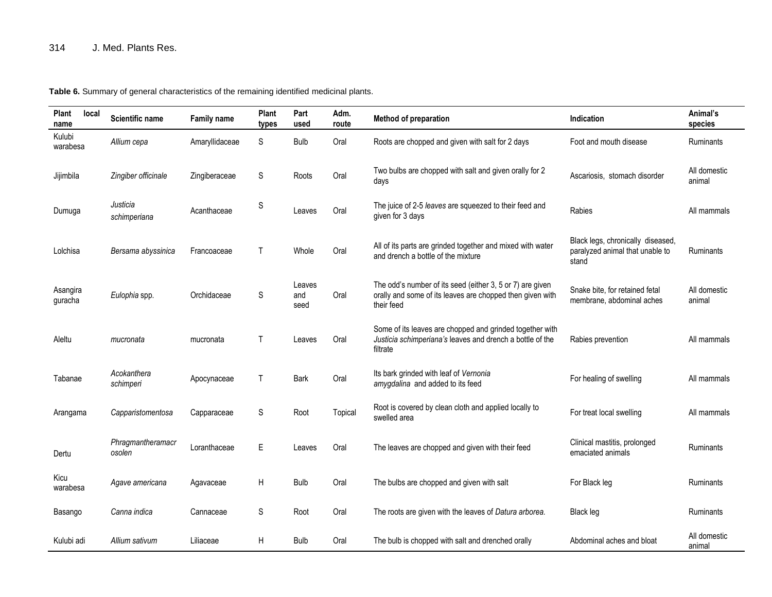**Plant local name Scientific name Family name Plant types Part used Adm. route Method of preparation Indication Animal's species** Kulubi Ruidion<br>warabesa *Allium cepa* **Amaryllidaceae** S Bulb Oral Roots are chopped and given with salt for 2 days Foot and mouth disease Ruminants Jijimbila *Zingiber officinale* Zingiberaceae <sup>S</sup> Roots Oral Two bulbs are chopped with salt and given orally for 2 days Ascariosis, stomach disorder All domestic animal Dumuga *Justicia schimperiana* Acanthaceae <sup>S</sup> Leaves Oral The juice of 2-5 *leaves* are squeezed to their feed and given for 3 days Rabies All mammals Lolchisa *Bersama abyssinica* Francoaceae <sup>T</sup> Whole Oral All of its parts are grinded together and mixed with water and drench a bottle of the mixture Black legs, chronically diseased, paralyzed animal that unable to stand Ruminants Asangira guracha *Eulophia* spp. Orchidaceae <sup>S</sup> Leaves and seed Oral The odd's number of its seed (either 3, 5 or 7) are given orally and some of its leaves are chopped then given with their feed Snake bite, for retained fetal membrane, abdominal aches All domestic animal Aleltu *mucronata* mucronata T Leaves Oral Some of its leaves are chopped and grinded together with *Justicia schimperiana's* leaves and drench a bottle of the filtrate Rabies prevention and All mammals Tabanae *Acokanthera schimperi* Apocynaceae <sup>T</sup> Bark Oral Its bark grinded with leaf of *Vernonia* and a mygdalina and added to its feed **For healing of swelling** All mammals amygdalina and added to its feed Arangama Ca*pparistomentosa* Capparaceae S Root Topical Root is covered by clean cloth and applied locally to For treat local swelling All mammals Dertu *Phragmantheramacr osolen* Loranthaceae <sup>E</sup> Leaves Oral The leaves are chopped and given with their feed Clinical mastitis, prolonged emaciated animals Ruminants Kicu warabesa *Agave americana* Agavaceae <sup>H</sup> Bulb Oral The bulbs are chopped and given with salt For Black leg Ruminants Basango *Canna indica* Cannaceae S Root Oral The roots are given with the leaves of *Datura arborea.* Black leg Ruminants Kulubi adi *Allium sativum* Liliaceae <sup>H</sup> Bulb Oral The bulb is chopped with salt and drenched orally Abdominal aches and bloat All domestic animal

**Table 6.** Summary of general characteristics of the remaining identified medicinal plants.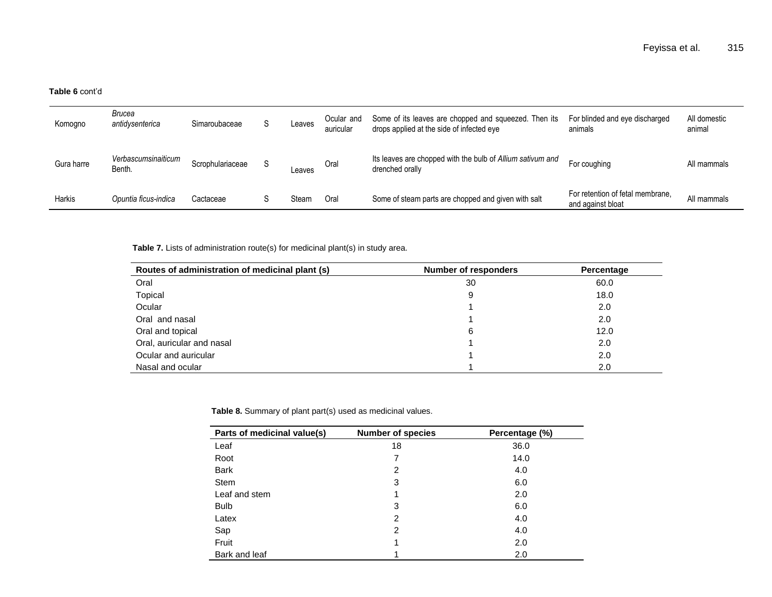#### **Table 6** cont'd

| Komogno    | <b>Brucea</b><br>antidysenterica | Simaroubaceae    |   | Leaves | Ocular and<br>auricular | Some of its leaves are chopped and squeezed. Then its<br>drops applied at the side of infected eye | For blinded and eye discharged<br>animals             | All domestic<br>animal |
|------------|----------------------------------|------------------|---|--------|-------------------------|----------------------------------------------------------------------------------------------------|-------------------------------------------------------|------------------------|
| Gura harre | Verbascumsinaiticum<br>Benth.    | Scrophulariaceae | S | _eaves | Oral                    | Its leaves are chopped with the bulb of Allium sativum and<br>drenched orally                      | For coughing                                          | All mammals            |
| Harkis     | Opuntia ficus-indica             | Cactaceae        |   | Steam  | Oral                    | Some of steam parts are chopped and given with salt                                                | For retention of fetal membrane.<br>and against bloat | All mammals            |

**Table 7.** Lists of administration route(s) for medicinal plant(s) in study area.

| Routes of administration of medicinal plant (s) | Number of responders | Percentage |
|-------------------------------------------------|----------------------|------------|
| Oral                                            | 30                   | 60.0       |
| Topical                                         | 9                    | 18.0       |
| Ocular                                          |                      | 2.0        |
| Oral and nasal                                  |                      | 2.0        |
| Oral and topical                                | 6                    | 12.0       |
| Oral, auricular and nasal                       |                      | 2.0        |
| Ocular and auricular                            |                      | 2.0        |
| Nasal and ocular                                |                      | 2.0        |

**Table 8.** Summary of plant part(s) used as medicinal values.

| Parts of medicinal value(s) | <b>Number of species</b> | Percentage (%) |
|-----------------------------|--------------------------|----------------|
| Leaf                        | 18                       | 36.0           |
| Root                        | 7                        | 14.0           |
| Bark                        | 2                        | 4.0            |
| <b>Stem</b>                 | 3                        | 6.0            |
| Leaf and stem               | 1                        | 2.0            |
| <b>Bulb</b>                 | 3                        | 6.0            |
| Latex                       | 2                        | 4.0            |
| Sap                         | 2                        | 4.0            |
| Fruit                       | 1                        | 2.0            |
| Bark and leaf               |                          | 2.0            |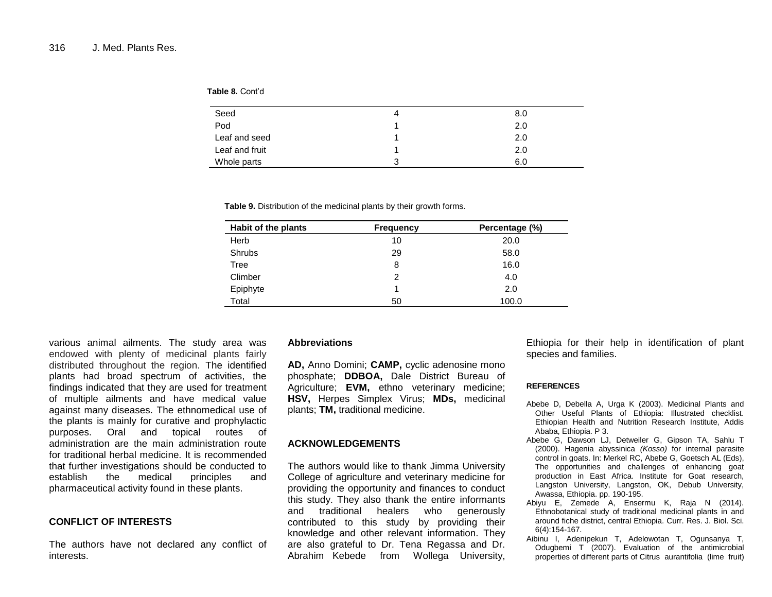#### **Table 8.** Cont'd

| Seed           | 4 | 8.0 |
|----------------|---|-----|
| Pod            |   | 2.0 |
| Leaf and seed  |   | 2.0 |
| Leaf and fruit |   | 2.0 |
| Whole parts    | 3 | 6.0 |

**Table 9.** Distribution of the medicinal plants by their growth forms.

| Habit of the plants | <b>Frequency</b> | Percentage (%) |
|---------------------|------------------|----------------|
| Herb                | 10               | 20.0           |
| <b>Shrubs</b>       | 29               | 58.0           |
| Tree                | 8                | 16.0           |
| Climber             | 2                | 4.0            |
| Epiphyte            |                  | 2.0            |
| Total               | 50               | 100.0          |

various animal ailments. The study area was endowed with plenty of medicinal plants fairly distributed throughout the region. The identified plants had broad spectrum of activities, the findings indicated that they are used for treatment of multiple ailments and have medical value against many diseases. The ethnomedical use of the plants is mainly for curative and prophylactic purposes. Oral and topical routes of administration are the main administration route for traditional herbal medicine. It is recommended that further investigations should be conducted to establish the medical principles and pharmaceutical activity found in these plants.

#### **CONFLICT OF INTERESTS**

The authors have not declared any conflict of interests.

#### **Abbreviations**

**AD,** Anno Domini; **CAMP,** cyclic adenosine mono phosphate; **DDBOA,** Dale District Bureau of Agriculture; **EVM,** ethno veterinary medicine; **HSV,** Herpes Simplex Virus; **MDs,** medicinal plants; **TM,** traditional medicine.

#### **ACKNOWLEDGEMENTS**

The authors would like to thank Jimma University College of agriculture and veterinary medicine for providing the opportunity and finances to conduct this study. They also thank the entire informants and traditional healers who generously contributed to this study by providing their knowledge and other relevant information. They are also grateful to Dr. Tena Regassa and Dr. Abrahim Kebede from Wollega University,

Ethiopia for their help in identification of plant species and families.

#### **REFERENCES**

- Abebe D, Debella A, Urga K (2003). Medicinal Plants and Other Useful Plants of Ethiopia: Illustrated checklist. Ethiopian Health and Nutrition Research Institute, Addis Ababa, Ethiopia. P 3.
- Abebe G, Dawson LJ, Detweiler G, Gipson TA, Sahlu T (2000). Hagenia abyssinica *(Kosso)* for internal parasite control in goats. In: Merkel RC, Abebe G, Goetsch AL (Eds), The opportunities and challenges of enhancing goat production in East Africa. Institute for Goat research, Langston University, Langston, OK, Debub University, Awassa, Ethiopia. pp. 190-195.
- Abiyu E, Zemede A, Ensermu K, Raja N (2014). Ethnobotanical study of traditional medicinal plants in and around fiche district, central Ethiopia. Curr. Res. J. Biol. Sci. 6(4):154-167.
- Aibinu I, Adenipekun T, Adelowotan T, Ogunsanya T, Odugbemi T (2007). Evaluation of the antimicrobial properties of different parts of Citrus aurantifolia (lime fruit)